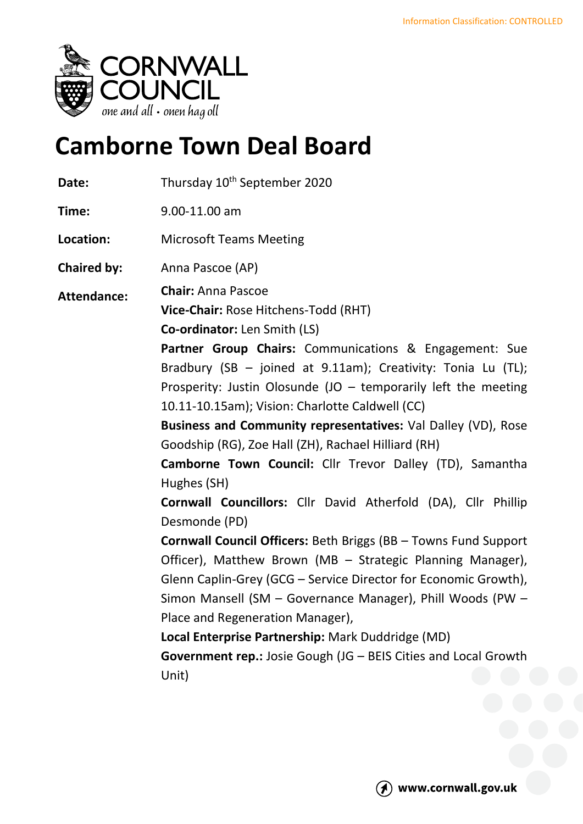

# **Camborne Town Deal Board**

Date: Thursday 10<sup>th</sup> September 2020

**Time:** 9.00-11.00 am

**Location:** Microsoft Teams Meeting

**Chaired by:** Anna Pascoe (AP)

**Attendance: Chair:** Anna Pascoe

**Vice-Chair:** Rose Hitchens-Todd (RHT)

**Co-ordinator:** Len Smith (LS)

**Partner Group Chairs:** Communications & Engagement: Sue Bradbury (SB – joined at 9.11am); Creativity: Tonia Lu (TL); Prosperity: Justin Olosunde (JO  $-$  temporarily left the meeting 10.11-10.15am); Vision: Charlotte Caldwell (CC)

**Business and Community representatives:** Val Dalley (VD), Rose Goodship (RG), Zoe Hall (ZH), Rachael Hilliard (RH)

**Camborne Town Council:** Cllr Trevor Dalley (TD), Samantha Hughes (SH)

**Cornwall Councillors:** Cllr David Atherfold (DA), Cllr Phillip Desmonde (PD)

**Cornwall Council Officers:** Beth Briggs (BB – Towns Fund Support Officer), Matthew Brown (MB – Strategic Planning Manager), Glenn Caplin-Grey (GCG – Service Director for Economic Growth), Simon Mansell (SM – Governance Manager), Phill Woods (PW – Place and Regeneration Manager),

**Local Enterprise Partnership:** Mark Duddridge (MD)

**Government rep.:** Josie Gough (JG – BEIS Cities and Local Growth Unit)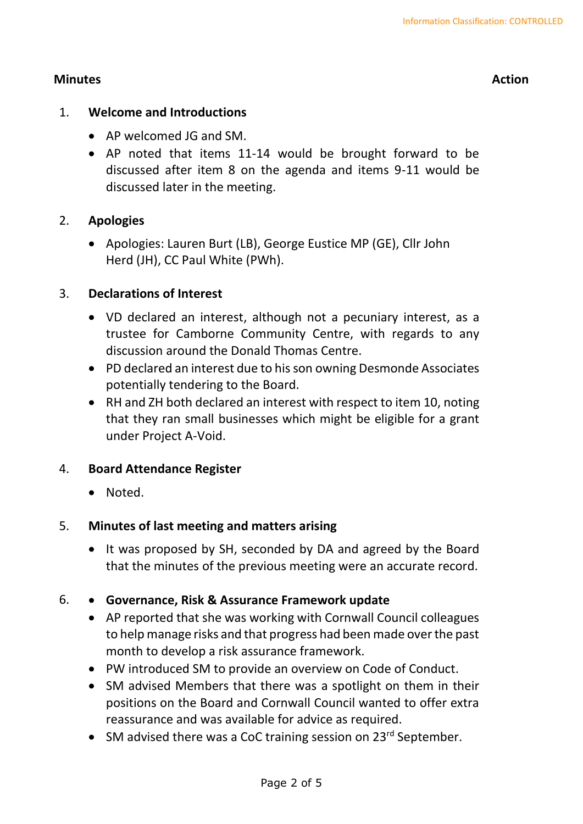# **Minutes Action**

# 1. **Welcome and Introductions**

- AP welcomed JG and SM.
- AP noted that items 11-14 would be brought forward to be discussed after item 8 on the agenda and items 9-11 would be discussed later in the meeting.

# 2. **Apologies**

• Apologies: Lauren Burt (LB), George Eustice MP (GE), Cllr John Herd (JH), CC Paul White (PWh).

# 3. **Declarations of Interest**

- VD declared an interest, although not a pecuniary interest, as a trustee for Camborne Community Centre, with regards to any discussion around the Donald Thomas Centre.
- PD declared an interest due to his son owning Desmonde Associates potentially tendering to the Board.
- RH and ZH both declared an interest with respect to item 10, noting that they ran small businesses which might be eligible for a grant under Project A-Void.

# 4. **Board Attendance Register**

• Noted.

# 5. **Minutes of last meeting and matters arising**

• It was proposed by SH, seconded by DA and agreed by the Board that the minutes of the previous meeting were an accurate record.

# 6. • **Governance, Risk & Assurance Framework update**

- AP reported that she was working with Cornwall Council colleagues to help manage risks and that progress had been made over the past month to develop a risk assurance framework.
- PW introduced SM to provide an overview on Code of Conduct.
- SM advised Members that there was a spotlight on them in their positions on the Board and Cornwall Council wanted to offer extra reassurance and was available for advice as required.
- SM advised there was a CoC training session on  $23^{rd}$  September.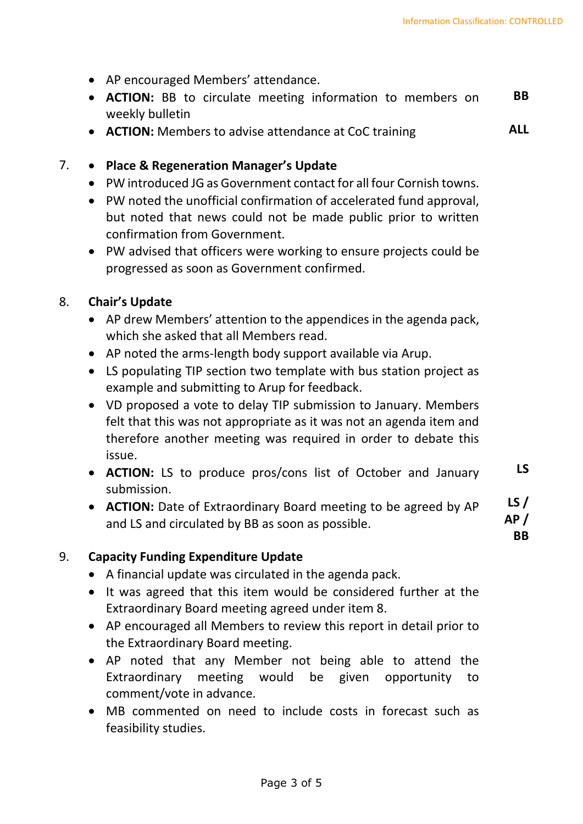- AP encouraged Members' attendance.
- **ACTION:** BB to circulate meeting information to members on weekly bulletin **BB**
- **ACTION:** Members to advise attendance at CoC training **ALL**

# 7. • **Place & Regeneration Manager's Update**

- PW introduced JG as Government contact for all four Cornish towns.
- PW noted the unofficial confirmation of accelerated fund approval, but noted that news could not be made public prior to written confirmation from Government.
- PW advised that officers were working to ensure projects could be progressed as soon as Government confirmed.

# 8. **Chair's Update**

- AP drew Members' attention to the appendices in the agenda pack, which she asked that all Members read.
- AP noted the arms-length body support available via Arup.
- LS populating TIP section two template with bus station project as example and submitting to Arup for feedback.
- VD proposed a vote to delay TIP submission to January. Members felt that this was not appropriate as it was not an agenda item and therefore another meeting was required in order to debate this issue.
- **ACTION:** LS to produce pros/cons list of October and January submission. **LS**
- **ACTION:** Date of Extraordinary Board meeting to be agreed by AP and LS and circulated by BB as soon as possible. **LS / AP / BB**

# 9. **Capacity Funding Expenditure Update**

- A financial update was circulated in the agenda pack.
- It was agreed that this item would be considered further at the Extraordinary Board meeting agreed under item 8.
- AP encouraged all Members to review this report in detail prior to the Extraordinary Board meeting.
- AP noted that any Member not being able to attend the Extraordinary meeting would be given opportunity to comment/vote in advance.
- MB commented on need to include costs in forecast such as feasibility studies.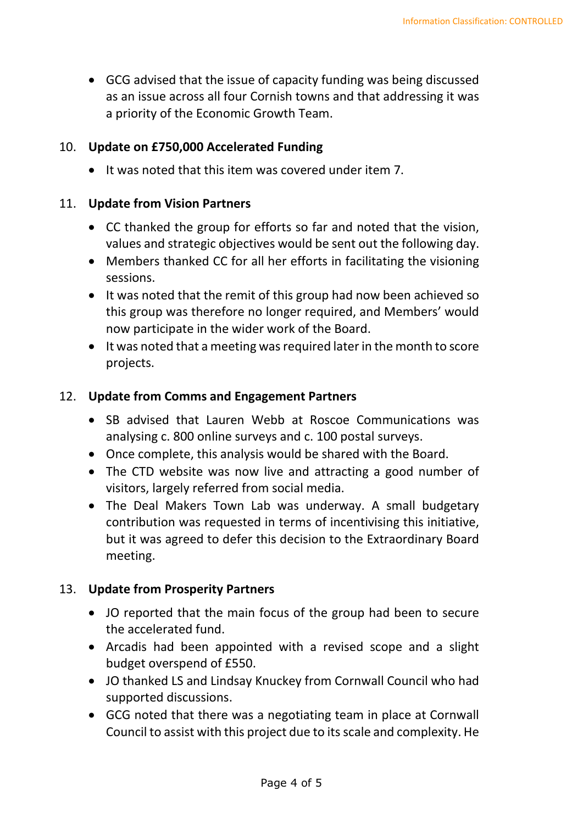• GCG advised that the issue of capacity funding was being discussed as an issue across all four Cornish towns and that addressing it was a priority of the Economic Growth Team.

#### 10. **Update on £750,000 Accelerated Funding**

• It was noted that this item was covered under item 7.

#### 11. **Update from Vision Partners**

- CC thanked the group for efforts so far and noted that the vision, values and strategic objectives would be sent out the following day.
- Members thanked CC for all her efforts in facilitating the visioning sessions.
- It was noted that the remit of this group had now been achieved so this group was therefore no longer required, and Members' would now participate in the wider work of the Board.
- It was noted that a meeting was required later in the month to score projects.

#### 12. **Update from Comms and Engagement Partners**

- SB advised that Lauren Webb at Roscoe Communications was analysing c. 800 online surveys and c. 100 postal surveys.
- Once complete, this analysis would be shared with the Board.
- The CTD website was now live and attracting a good number of visitors, largely referred from social media.
- The Deal Makers Town Lab was underway. A small budgetary contribution was requested in terms of incentivising this initiative, but it was agreed to defer this decision to the Extraordinary Board meeting.

# 13. **Update from Prosperity Partners**

- JO reported that the main focus of the group had been to secure the accelerated fund.
- Arcadis had been appointed with a revised scope and a slight budget overspend of £550.
- JO thanked LS and Lindsay Knuckey from Cornwall Council who had supported discussions.
- GCG noted that there was a negotiating team in place at Cornwall Council to assist with this project due to its scale and complexity. He